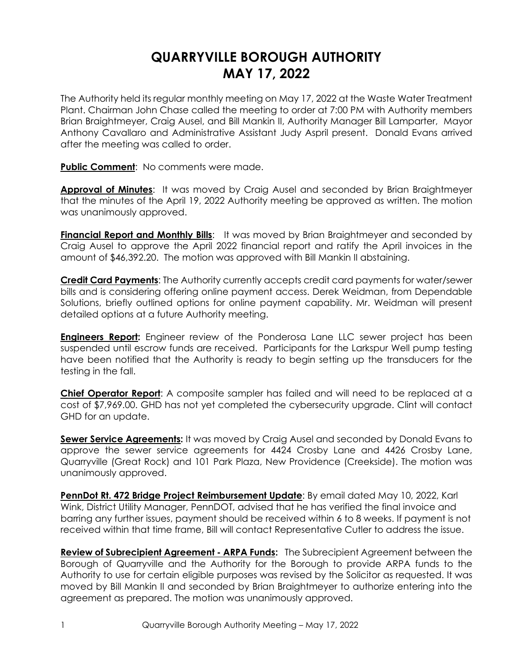## **QUARRYVILLE BOROUGH AUTHORITY MAY 17, 2022**

The Authority held its regular monthly meeting on May 17, 2022 at the Waste Water Treatment Plant. Chairman John Chase called the meeting to order at 7:00 PM with Authority members Brian Braightmeyer, Craig Ausel, and Bill Mankin II, Authority Manager Bill Lamparter, Mayor Anthony Cavallaro and Administrative Assistant Judy Aspril present. Donald Evans arrived after the meeting was called to order.

**Public Comment**: No comments were made.

**Approval of Minutes**: It was moved by Craig Ausel and seconded by Brian Braightmeyer that the minutes of the April 19, 2022 Authority meeting be approved as written. The motion was unanimously approved.

**Financial Report and Monthly Bills**: It was moved by Brian Braightmeyer and seconded by Craig Ausel to approve the April 2022 financial report and ratify the April invoices in the amount of \$46,392.20. The motion was approved with Bill Mankin II abstaining.

**Credit Card Payments**: The Authority currently accepts credit card payments for water/sewer bills and is considering offering online payment access. Derek Weidman, from Dependable Solutions, briefly outlined options for online payment capability. Mr. Weidman will present detailed options at a future Authority meeting.

**Engineers Report:** Engineer review of the Ponderosa Lane LLC sewer project has been suspended until escrow funds are received. Participants for the Larkspur Well pump testing have been notified that the Authority is ready to begin setting up the transducers for the testing in the fall.

**Chief Operator Report**: A composite sampler has failed and will need to be replaced at a cost of \$7,969.00. GHD has not yet completed the cybersecurity upgrade. Clint will contact GHD for an update.

**Sewer Service Agreements:** It was moved by Craig Ausel and seconded by Donald Evans to approve the sewer service agreements for 4424 Crosby Lane and 4426 Crosby Lane, Quarryville (Great Rock) and 101 Park Plaza, New Providence (Creekside). The motion was unanimously approved.

**PennDot Rt. 472 Bridge Project Reimbursement Update**: By email dated May 10, 2022, Karl Wink, District Utility Manager, PennDOT, advised that he has verified the final invoice and barring any further issues, payment should be received within 6 to 8 weeks. If payment is not received within that time frame, Bill will contact Representative Cutler to address the issue.

**Review of Subrecipient Agreement - ARPA Funds:** The Subrecipient Agreement between the Borough of Quarryville and the Authority for the Borough to provide ARPA funds to the Authority to use for certain eligible purposes was revised by the Solicitor as requested. It was moved by Bill Mankin II and seconded by Brian Braightmeyer to authorize entering into the agreement as prepared. The motion was unanimously approved.